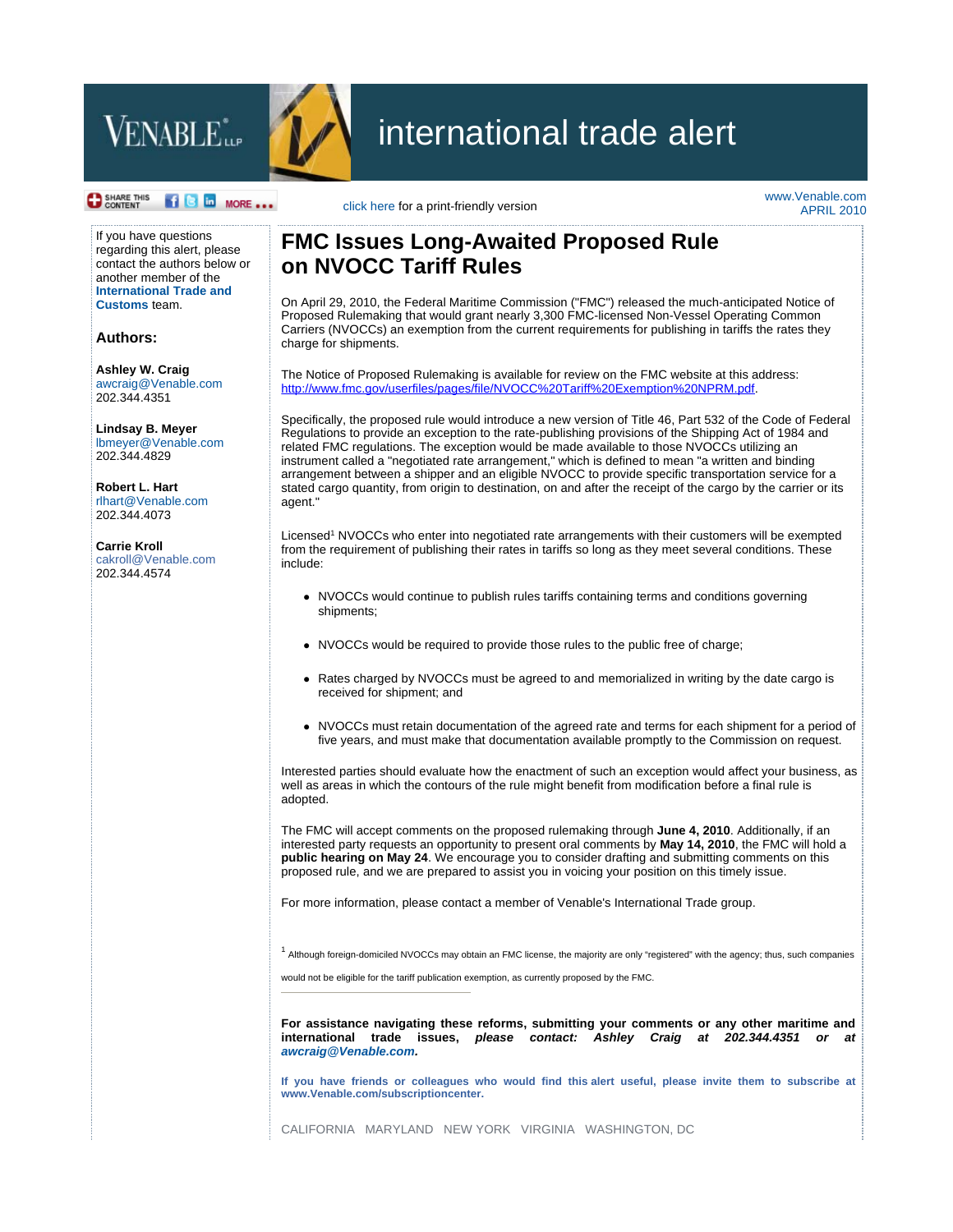



## international trade alert

## **O** SHARE THIS

**f c** in MORE ... click here for a print-friendly version

www.Venable.com APRIL 2010

If you have questions regarding this alert, please contact the authors below or another member of the **International Trade and Customs** team.

**Authors:**

**Ashley W. Craig** awcraig@Venable.com 202.344.4351

**Lindsay B. Meyer** lbmeyer@Venable.com 202.344.4829

**Robert L. Hart** rlhart@Venable.com 202.344.4073

**Carrie Kroll** cakroll@Venable.com 202.344.4574

## **FMC Issues Long-Awaited Proposed Rule on NVOCC Tariff Rules**

On April 29, 2010, the Federal Maritime Commission ("FMC") released the much-anticipated Notice of Proposed Rulemaking that would grant nearly 3,300 FMC-licensed Non-Vessel Operating Common Carriers (NVOCCs) an exemption from the current requirements for publishing in tariffs the rates they charge for shipments.

The Notice of Proposed Rulemaking is available for review on the FMC website at this address: http://www.fmc.gov/userfiles/pages/file/NVOCC%20Tariff%20Exemption%20NPRM.pdf.

Specifically, the proposed rule would introduce a new version of Title 46, Part 532 of the Code of Federal Regulations to provide an exception to the rate-publishing provisions of the Shipping Act of 1984 and related FMC regulations. The exception would be made available to those NVOCCs utilizing an instrument called a "negotiated rate arrangement," which is defined to mean "a written and binding arrangement between a shipper and an eligible NVOCC to provide specific transportation service for a stated cargo quantity, from origin to destination, on and after the receipt of the cargo by the carrier or its agent."

Licensed<sup>1</sup> NVOCCs who enter into negotiated rate arrangements with their customers will be exempted from the requirement of publishing their rates in tariffs so long as they meet several conditions. These include:

- NVOCCs would continue to publish rules tariffs containing terms and conditions governing shipments;
- NVOCCs would be required to provide those rules to the public free of charge;
- Rates charged by NVOCCs must be agreed to and memorialized in writing by the date cargo is received for shipment; and
- NVOCCs must retain documentation of the agreed rate and terms for each shipment for a period of five years, and must make that documentation available promptly to the Commission on request.

Interested parties should evaluate how the enactment of such an exception would affect your business, as well as areas in which the contours of the rule might benefit from modification before a final rule is adopted.

The FMC will accept comments on the proposed rulemaking through **June 4, 2010**. Additionally, if an interested party requests an opportunity to present oral comments by **May 14, 2010**, the FMC will hold a **public hearing on May 24**. We encourage you to consider drafting and submitting comments on this proposed rule, and we are prepared to assist you in voicing your position on this timely issue.

For more information, please contact a member of Venable's International Trade group.

<sup>1</sup> Although foreign-domiciled NVOCCs may obtain an FMC license, the majority are only "registered" with the agency; thus, such companies

would not be eligible for the tariff publication exemption, as currently proposed by the FMC.

**For assistance navigating these reforms, submitting your comments or any other maritime and international trade issues,** *please contact: Ashley Craig at 202.344.4351 or at awcraig@Venable.com.* 

**If you have friends or colleagues who would find this alert useful, please invite them to subscribe at www.Venable.com/subscriptioncenter.** 

CALIFORNIA MARYLAND NEW YORK VIRGINIA WASHINGTON, DC